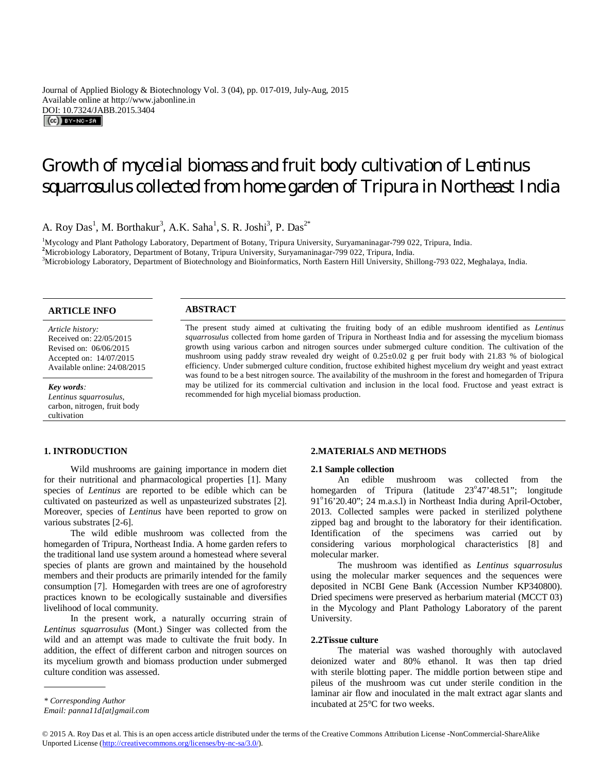Journal of Applied Biology & Biotechnology Vol. 3 (04), pp. 017-019, July-Aug, 2015 Available online at http://www.jabonline.in DOI: 10.7324/JABB.2015.3404

# Growth of mycelial biomass and fruit body cultivation of *Lentinus squarrosulus* collected from home garden of Tripura in Northeast India

A. Roy Das<sup>1</sup>, M. Borthakur<sup>3</sup>, A.K. Saha<sup>1</sup>, S. R. Joshi<sup>3</sup>, P. Das<sup>2\*</sup>

<sup>1</sup>Mycology and Plant Pathology Laboratory, Department of Botany, Tripura University, Suryamaninagar-799 022, Tripura, India. **<sup>2</sup>**Microbiology Laboratory, Department of Botany, Tripura University, Suryamaninagar-799 022, Tripura, India. <sup>3</sup>Microbiology Laboratory, Department of Biotechnology and Bioinformatics, North Eastern Hill University, Shillong-793 022, Meghalaya, India.

# **ARTICLE INFO ABSTRACT**

*Article history:* Received on: 22/05/2015 Revised on: 06/06/2015 Accepted on: 14/07/2015 Available online: 24/08/2015

*Key words:* 

*Lentinus squarrosulus*, carbon, nitrogen, fruit body cultivation

# **1. INTRODUCTION**

Wild mushrooms are gaining importance in modern diet for their nutritional and pharmacological properties [1]. Many species of *Lentinus* are reported to be edible which can be cultivated on pasteurized as well as unpasteurized substrates [2]. Moreover, species of *Lentinus* have been reported to grow on various substrates [2-6].

The wild edible mushroom was collected from the homegarden of Tripura, Northeast India. A home garden refers to the traditional land use system around a homestead where several species of plants are grown and maintained by the household members and their products are primarily intended for the family consumption [7]. Homegarden with trees are one of agroforestry practices known to be ecologically sustainable and diversifies livelihood of local community.

In the present work, a naturally occurring strain of *Lentinus squarrosulus* (Mont.) Singer was collected from the wild and an attempt was made to cultivate the fruit body. In addition, the effect of different carbon and nitrogen sources on its mycelium growth and biomass production under submerged culture condition was assessed.

The present study aimed at cultivating the fruiting body of an edible mushroom identified as *Lentinus squarrosulus* collected from home garden of Tripura in Northeast India and for assessing the mycelium biomass growth using various carbon and nitrogen sources under submerged culture condition. The cultivation of the mushroom using paddy straw revealed dry weight of 0.25±0.02 g per fruit body with 21.83 % of biological efficiency. Under submerged culture condition, fructose exhibited highest mycelium dry weight and yeast extract was found to be a best nitrogen source. The availability of the mushroom in the forest and homegarden of Tripura may be utilized for its commercial cultivation and inclusion in the local food. Fructose and yeast extract is recommended for high mycelial biomass production.

# **2.MATERIALS AND METHODS**

#### **2.1 Sample collection**

An edible mushroom was collected from the homegarden of Tripura (latitude 23°47'48.51"; longitude 91°16'20.40"; 24 m.a.s.l) in Northeast India during April-October, 2013. Collected samples were packed in sterilized polythene zipped bag and brought to the laboratory for their identification. Identification of the specimens was carried out by considering various morphological characteristics [8] and molecular marker.

The mushroom was identified as *Lentinus squarrosulus* using the molecular marker sequences and the sequences were deposited in NCBI Gene Bank (Accession Number KP340800). Dried specimens were preserved as herbarium material (MCCT 03) in the Mycology and Plant Pathology Laboratory of the parent University.

### **2.2Tissue culture**

The material was washed thoroughly with autoclaved deionized water and 80% ethanol. It was then tap dried with sterile blotting paper. The middle portion between stipe and pileus of the mushroom was cut under sterile condition in the laminar air flow and inoculated in the malt extract agar slants and incubated at 25°C for two weeks.

© 2015 A. Roy Das et al. This is an open access article distributed under the terms of the Creative Commons Attribution License -NonCommercial-ShareAlike Unported License (http://creativecommons.org/licenses/by-nc-sa/3.0/).

. *\* Corresponding Author*

*Email: panna11d[at]gmail.com*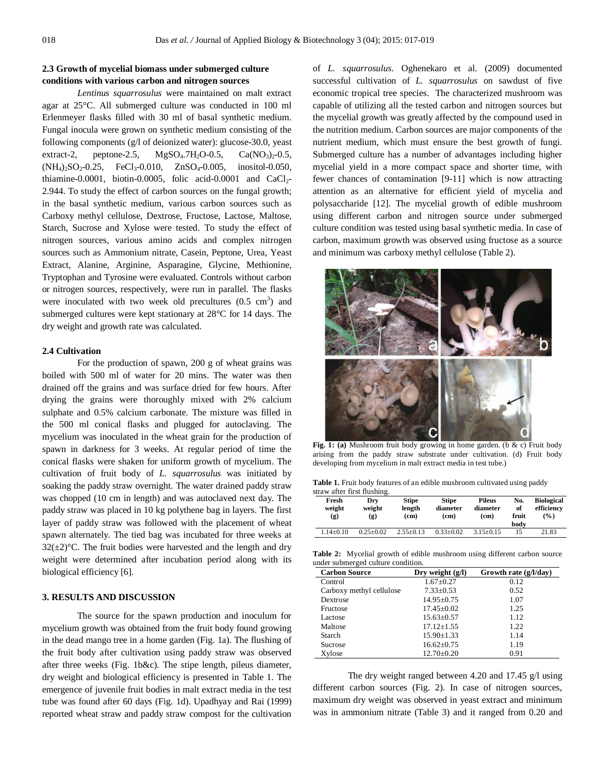# **2.3 Growth of mycelial biomass under submerged culture conditions with various carbon and nitrogen sources**

*Lentinus squarrosulus* were maintained on malt extract agar at 25°C. All submerged culture was conducted in 100 ml Erlenmeyer flasks filled with 30 ml of basal synthetic medium. Fungal inocula were grown on synthetic medium consisting of the following components (g/l of deionized water): glucose-30.0, yeast extract-2, peptone-2.5,  $MgSO_4.7H_2O-0.5$ ,  $Ca(NO_3)_2-0.5$ ,  $(NH_4)_2SO_2-0.25$ , FeCl<sub>3</sub>-0.010, ZnSO<sub>4</sub>-0.005, inositol-0.050, thiamine-0.0001, biotin-0.0005, folic acid-0.0001 and  $CaCl<sub>2</sub>$ -2.944. To study the effect of carbon sources on the fungal growth; in the basal synthetic medium, various carbon sources such as Carboxy methyl cellulose, Dextrose, Fructose, Lactose, Maltose, Starch, Sucrose and Xylose were tested. To study the effect of nitrogen sources, various amino acids and complex nitrogen sources such as Ammonium nitrate, Casein, Peptone, Urea, Yeast Extract, Alanine, Arginine, Asparagine, Glycine, Methionine, Tryptophan and Tyrosine were evaluated. Controls without carbon or nitrogen sources, respectively, were run in parallel. The flasks were inoculated with two week old precultures  $(0.5 \text{ cm}^3)$  and submerged cultures were kept stationary at 28°C for 14 days. The dry weight and growth rate was calculated.

#### **2.4 Cultivation**

For the production of spawn, 200 g of wheat grains was boiled with 500 ml of water for 20 mins. The water was then drained off the grains and was surface dried for few hours. After drying the grains were thoroughly mixed with 2% calcium sulphate and 0.5% calcium carbonate. The mixture was filled in the 500 ml conical flasks and plugged for autoclaving. The mycelium was inoculated in the wheat grain for the production of spawn in darkness for 3 weeks. At regular period of time the conical flasks were shaken for uniform growth of mycelium. The cultivation of fruit body of *L. squarrosulus* was initiated by soaking the paddy straw overnight. The water drained paddy straw was chopped (10 cm in length) and was autoclaved next day. The paddy straw was placed in 10 kg polythene bag in layers. The first layer of paddy straw was followed with the placement of wheat spawn alternately. The tied bag was incubated for three weeks at  $32(\pm2)$ °C. The fruit bodies were harvested and the length and dry weight were determined after incubation period along with its biological efficiency [6].

# **3. RESULTS AND DISCUSSION**

The source for the spawn production and inoculum for mycelium growth was obtained from the fruit body found growing in the dead mango tree in a home garden (Fig. 1a). The flushing of the fruit body after cultivation using paddy straw was observed after three weeks (Fig. 1b&c). The stipe length, pileus diameter, dry weight and biological efficiency is presented in Table 1. The emergence of juvenile fruit bodies in malt extract media in the test tube was found after 60 days (Fig. 1d). Upadhyay and Rai (1999) reported wheat straw and paddy straw compost for the cultivation of *L. squarrosulus.* Oghenekaro et al. (2009) documented successful cultivation of *L. squarrosulus* on sawdust of five economic tropical tree species. The characterized mushroom was capable of utilizing all the tested carbon and nitrogen sources but the mycelial growth was greatly affected by the compound used in the nutrition medium. Carbon sources are major components of the nutrient medium, which must ensure the best growth of fungi. Submerged culture has a number of advantages including higher mycelial yield in a more compact space and shorter time, with fewer chances of contamination [9-11] which is now attracting attention as an alternative for efficient yield of mycelia and polysaccharide [12]. The mycelial growth of edible mushroom using different carbon and nitrogen source under submerged culture condition was tested using basal synthetic media. In case of carbon, maximum growth was observed using fructose as a source and minimum was carboxy methyl cellulose (Table 2).



**Fig. 1: (a)** Mushroom fruit body growing in home garden. (b & c) Fruit body arising from the paddy straw substrate under cultivation. (d) Fruit body developing from mycelium in malt extract media in test tube.)

Table 1. Fruit body features of an edible mushroom cultivated using paddy straw after first flushing.

| Fresh<br>weight<br>(g) | Dry<br>weight<br>(g) | <b>Stipe</b><br>length<br>(cm) | <b>Stipe</b><br>diameter<br>(cm) | <b>Pileus</b><br>diameter<br>(cm) | No.<br>of<br>fruit<br>body | <b>Biological</b><br>efficiency<br>$\frac{9}{6}$ |
|------------------------|----------------------|--------------------------------|----------------------------------|-----------------------------------|----------------------------|--------------------------------------------------|
| $1.14 + 0.10$          | $0.25 + 0.02$        | $2.55+0.13$                    | $0.33 + 0.02$                    | $3.15+0.15$                       | 15                         | 21.83                                            |

Table 2: Mycelial growth of edible mushroom using different carbon source under submerged culture condition.

| <b>Carbon Source</b>     | Dry weight $(g/l)$ | Growth rate $(g/l/day)$ |  |
|--------------------------|--------------------|-------------------------|--|
| Control                  | $1.67 \pm 0.27$    | 0.12                    |  |
| Carboxy methyl cellulose | $7.33 \pm 0.53$    | 0.52                    |  |
| Dextrose                 | $14.95 \pm 0.75$   | 1.07                    |  |
| Fructose                 | $17.45 \pm 0.02$   | 1.25                    |  |
| Lactose                  | $15.63 \pm 0.57$   | 1.12                    |  |
| Maltose                  | $17.12 + 1.55$     | 1.22                    |  |
| Starch                   | $15.90 \pm 1.33$   | 1.14                    |  |
| Sucrose                  | $16.62 \pm 0.75$   | 1.19                    |  |
| Xvlose                   | $12.70 \pm 0.20$   | 0.91                    |  |

The dry weight ranged between 4.20 and 17.45 g/l using different carbon sources (Fig. 2). In case of nitrogen sources, maximum dry weight was observed in yeast extract and minimum was in ammonium nitrate (Table 3) and it ranged from 0.20 and